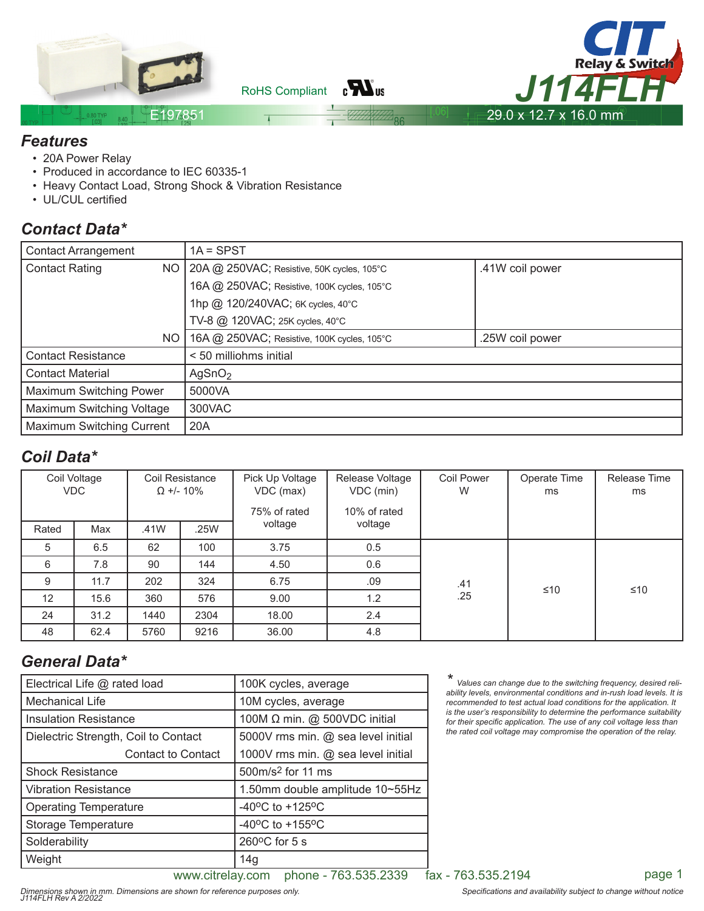

 $_{\rm B}H_{\rm u}$ RoHS Compliant



#### E197851

#### *Features*

- 20A Power Relay
- Produced in accordance to IEC 60335-1
- Heavy Contact Load, Strong Shock & Vibration Resistance
- UL/CUL certified

## *Contact Data\**

| <b>Contact Arrangement</b>         | $1A = SPST$                                  |                 |  |  |  |
|------------------------------------|----------------------------------------------|-----------------|--|--|--|
| <b>Contact Rating</b><br><b>NO</b> | $20A$ @ 250VAC; Resistive, 50K cycles, 105°C | .41W coil power |  |  |  |
|                                    | 16A @ 250VAC; Resistive, 100K cycles, 105°C  |                 |  |  |  |
|                                    | 1hp @ 120/240VAC; 6K cycles, 40°C            |                 |  |  |  |
|                                    | TV-8 @ 120VAC; 25K cycles, 40°C              |                 |  |  |  |
| NO                                 | 16A @ 250VAC; Resistive, 100K cycles, 105°C  | .25W coil power |  |  |  |
| <b>Contact Resistance</b>          | < 50 milliohms initial                       |                 |  |  |  |
| <b>Contact Material</b>            | AgSnO <sub>2</sub>                           |                 |  |  |  |
| Maximum Switching Power            | 5000VA                                       |                 |  |  |  |
| Maximum Switching Voltage          | 300VAC                                       |                 |  |  |  |
| <b>Maximum Switching Current</b>   | 20A                                          |                 |  |  |  |

#### *Coil Data\**

| Coil Voltage<br><b>VDC</b> |      | Coil Resistance<br>$\Omega$ +/- 10% |      | Pick Up Voltage<br>VDC (max)<br>75% of rated | Release Voltage<br>VDC (min)<br>10% of rated | <b>Coil Power</b><br>W | Operate Time<br>ms | Release Time<br>ms |
|----------------------------|------|-------------------------------------|------|----------------------------------------------|----------------------------------------------|------------------------|--------------------|--------------------|
| Rated                      | Max  | .41W                                | .25W | voltage                                      | voltage                                      |                        |                    |                    |
| 5                          | 6.5  | 62                                  | 100  | 3.75                                         | 0.5                                          | .41                    | ≤10<br>≤10         |                    |
| 6                          | 7.8  | 90                                  | 144  | 4.50                                         | 0.6                                          |                        |                    |                    |
| 9                          | 11.7 | 202                                 | 324  | 6.75                                         | .09                                          |                        |                    |                    |
| $12 \overline{ }$          | 15.6 | 360                                 | 576  | 9.00                                         | 1.2                                          | .25                    |                    |                    |
| 24                         | 31.2 | 1440                                | 2304 | 18.00                                        | 2.4                                          |                        |                    |                    |
| 48                         | 62.4 | 5760                                | 9216 | 36.00                                        | 4.8                                          |                        |                    |                    |

# *General Data\**

| Electrical Life @ rated load         | 100K cycles, average                  |  |  |
|--------------------------------------|---------------------------------------|--|--|
| <b>Mechanical Life</b>               | 10M cycles, average                   |  |  |
| <b>Insulation Resistance</b>         | 100M Ω min. @ 500VDC initial          |  |  |
| Dielectric Strength, Coil to Contact | 5000V rms min. @ sea level initial    |  |  |
| <b>Contact to Contact</b>            | 1000V rms min. @ sea level initial    |  |  |
| <b>Shock Resistance</b>              | 500m/s <sup>2</sup> for 11 ms         |  |  |
| <b>Vibration Resistance</b>          | 1.50mm double amplitude 10~55Hz       |  |  |
| <b>Operating Temperature</b>         | -40 $^{\circ}$ C to +125 $^{\circ}$ C |  |  |
| Storage Temperature                  | -40 $^{\circ}$ C to +155 $^{\circ}$ C |  |  |
| Solderability                        | $260^{\circ}$ C for 5 s               |  |  |
| Weight                               | 14 <sub>g</sub>                       |  |  |

*\* Values can change due to the switching frequency, desired reliability levels, environmental conditions and in-rush load levels. It is recommended to test actual load conditions for the application. It is the user's responsibility to determine the performance suitability*  for their specific application. The use of any coil voltage less than *the rated coil voltage may compromise the operation of the relay.*

www.citrelay.com phone - 763.535.2339 fax - 763.535.2194 page 1

Dimensions shown in mm. Dimensions are shown for reference purposes only.<br>J114FLH Rev A 2/2022